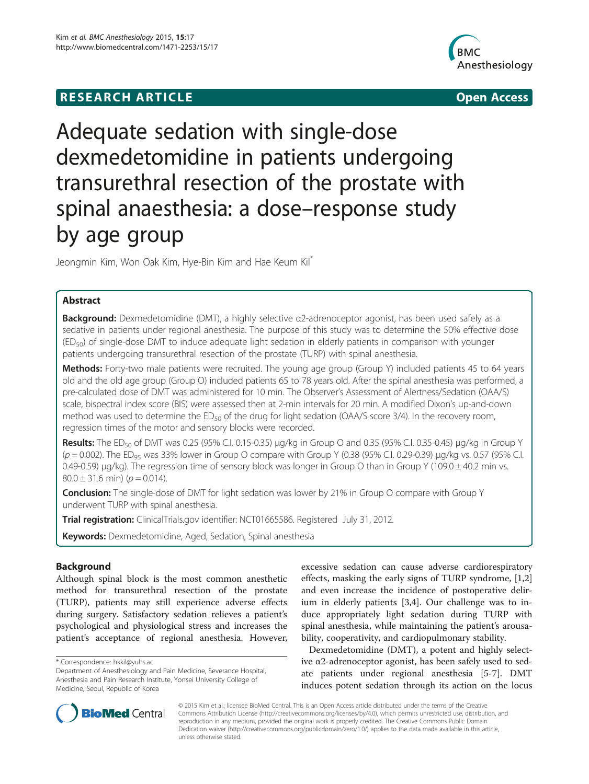# **RESEARCH ARTICLE Example 2014 CONSIDERING CONSIDERING CONSIDERING CONSIDERING CONSIDERING CONSIDERING CONSIDERING CONSIDERING CONSIDERING CONSIDERING CONSIDERING CONSIDERING CONSIDERING CONSIDERING CONSIDERING CONSIDE**



# Adequate sedation with single-dose dexmedetomidine in patients undergoing transurethral resection of the prostate with spinal anaesthesia: a dose–response study by age group

Jeongmin Kim, Won Oak Kim, Hye-Bin Kim and Hae Keum Kil\*

# Abstract

Background: Dexmedetomidine (DMT), a highly selective α2-adrenoceptor agonist, has been used safely as a sedative in patients under regional anesthesia. The purpose of this study was to determine the 50% effective dose  $(ED<sub>50</sub>)$  of single-dose DMT to induce adequate light sedation in elderly patients in comparison with younger patients undergoing transurethral resection of the prostate (TURP) with spinal anesthesia.

Methods: Forty-two male patients were recruited. The young age group (Group Y) included patients 45 to 64 years old and the old age group (Group O) included patients 65 to 78 years old. After the spinal anesthesia was performed, a pre-calculated dose of DMT was administered for 10 min. The Observer's Assessment of Alertness/Sedation (OAA/S) scale, bispectral index score (BIS) were assessed then at 2-min intervals for 20 min. A modified Dixon's up-and-down method was used to determine the ED<sub>50</sub> of the drug for light sedation (OAA/S score 3/4). In the recovery room, regression times of the motor and sensory blocks were recorded.

Results: The ED<sub>50</sub> of DMT was 0.25 (95% C.I. 0.15-0.35) μg/kg in Group O and 0.35 (95% C.I. 0.35-0.45) μg/kg in Group Y  $(p = 0.002)$ . The ED<sub>95</sub> was 33% lower in Group O compare with Group Y (0.38 (95% C.I. 0.29-0.39) µg/kg vs. 0.57 (95% C.I. 0.49-0.59) μg/kg). The regression time of sensory block was longer in Group O than in Group Y (109.0 ± 40.2 min vs.  $80.0 \pm 31.6$  min) ( $p = 0.014$ ).

**Conclusion:** The single-dose of DMT for light sedation was lower by 21% in Group O compare with Group Y underwent TURP with spinal anesthesia.

**Trial registration:** ClinicalTrials.gov identifier: [NCT01665586](http://www.clinicaltrials.gov/ct2/show/NCT01665586). Registered July 31, 2012.

Keywords: Dexmedetomidine, Aged, Sedation, Spinal anesthesia

# Background

Although spinal block is the most common anesthetic method for transurethral resection of the prostate (TURP), patients may still experience adverse effects during surgery. Satisfactory sedation relieves a patient's psychological and physiological stress and increases the patient's acceptance of regional anesthesia. However,

excessive sedation can cause adverse cardiorespiratory effects, masking the early signs of TURP syndrome, [\[1,2](#page-5-0)] and even increase the incidence of postoperative delirium in elderly patients [\[3,4](#page-5-0)]. Our challenge was to induce appropriately light sedation during TURP with spinal anesthesia, while maintaining the patient's arousability, cooperativity, and cardiopulmonary stability.

Dexmedetomidine (DMT), a potent and highly selective α2-adrenoceptor agonist, has been safely used to sedate patients under regional anesthesia [\[5](#page-5-0)-[7\]](#page-5-0). DMT induces potent sedation through its action on the locus



© 2015 Kim et al.; licensee BioMed Central. This is an Open Access article distributed under the terms of the Creative Commons Attribution License [\(http://creativecommons.org/licenses/by/4.0\)](http://creativecommons.org/licenses/by/4.0), which permits unrestricted use, distribution, and reproduction in any medium, provided the original work is properly credited. The Creative Commons Public Domain Dedication waiver [\(http://creativecommons.org/publicdomain/zero/1.0/](http://creativecommons.org/publicdomain/zero/1.0/)) applies to the data made available in this article, unless otherwise stated.

<sup>\*</sup> Correspondence: [hkkil@yuhs.ac](mailto:hkkil@yuhs.ac)

Department of Anesthesiology and Pain Medicine, Severance Hospital, Anesthesia and Pain Research Institute, Yonsei University College of Medicine, Seoul, Republic of Korea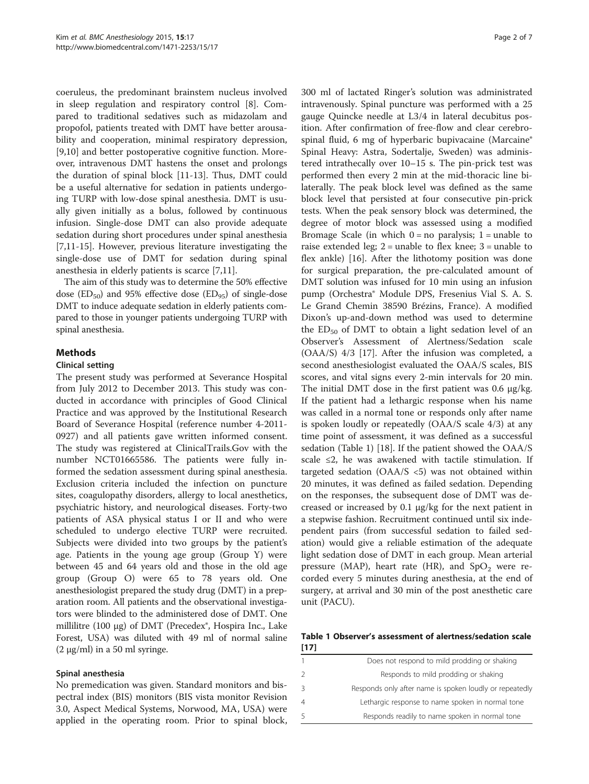coeruleus, the predominant brainstem nucleus involved in sleep regulation and respiratory control [\[8](#page-5-0)]. Compared to traditional sedatives such as midazolam and propofol, patients treated with DMT have better arousability and cooperation, minimal respiratory depression, [[9,10\]](#page-5-0) and better postoperative cognitive function. Moreover, intravenous DMT hastens the onset and prolongs the duration of spinal block [\[11-13](#page-5-0)]. Thus, DMT could be a useful alternative for sedation in patients undergoing TURP with low-dose spinal anesthesia. DMT is usually given initially as a bolus, followed by continuous infusion. Single-dose DMT can also provide adequate sedation during short procedures under spinal anesthesia [[7,11-15](#page-5-0)]. However, previous literature investigating the single-dose use of DMT for sedation during spinal anesthesia in elderly patients is scarce [[7,11\]](#page-5-0).

The aim of this study was to determine the 50% effective dose ( $ED_{50}$ ) and 95% effective dose ( $ED_{95}$ ) of single-dose DMT to induce adequate sedation in elderly patients compared to those in younger patients undergoing TURP with spinal anesthesia.

# Methods

## Clinical setting

The present study was performed at Severance Hospital from July 2012 to December 2013. This study was conducted in accordance with principles of Good Clinical Practice and was approved by the Institutional Research Board of Severance Hospital (reference number 4-2011- 0927) and all patients gave written informed consent. The study was registered at ClinicalTrails.Gov with the number NCT01665586. The patients were fully informed the sedation assessment during spinal anesthesia. Exclusion criteria included the infection on puncture sites, coagulopathy disorders, allergy to local anesthetics, psychiatric history, and neurological diseases. Forty-two patients of ASA physical status I or II and who were scheduled to undergo elective TURP were recruited. Subjects were divided into two groups by the patient's age. Patients in the young age group (Group Y) were between 45 and 64 years old and those in the old age group (Group O) were 65 to 78 years old. One anesthesiologist prepared the study drug (DMT) in a preparation room. All patients and the observational investigators were blinded to the administered dose of DMT. One millilitre (100 μg) of DMT (Precedex®, Hospira Inc., Lake Forest, USA) was diluted with 49 ml of normal saline (2 μg/ml) in a 50 ml syringe.

# Spinal anesthesia

No premedication was given. Standard monitors and bispectral index (BIS) monitors (BIS vista monitor Revision 3.0, Aspect Medical Systems, Norwood, MA, USA) were applied in the operating room. Prior to spinal block, 300 ml of lactated Ringer's solution was administrated intravenously. Spinal puncture was performed with a 25 gauge Quincke needle at L3/4 in lateral decubitus position. After confirmation of free-flow and clear cerebrospinal fluid, 6 mg of hyperbaric bupivacaine (Marcaine® Spinal Heavy: Astra, Sodertalje, Sweden) was administered intrathecally over 10–15 s. The pin-prick test was performed then every 2 min at the mid-thoracic line bilaterally. The peak block level was defined as the same block level that persisted at four consecutive pin-prick tests. When the peak sensory block was determined, the degree of motor block was assessed using a modified Bromage Scale (in which  $0 = no$  paralysis;  $1 = \text{unable to}$ raise extended leg;  $2 =$  unable to flex knee;  $3 =$  unable to flex ankle) [[16\]](#page-5-0). After the lithotomy position was done for surgical preparation, the pre-calculated amount of DMT solution was infused for 10 min using an infusion pump (Orchestra® Module DPS, Fresenius Vial S. A. S. Le Grand Chemin 38590 Brézins, France). A modified Dixon's up-and-down method was used to determine the  $ED_{50}$  of DMT to obtain a light sedation level of an Observer's Assessment of Alertness/Sedation scale (OAA/S) 4/3 [\[17](#page-5-0)]. After the infusion was completed, a second anesthesiologist evaluated the OAA/S scales, BIS scores, and vital signs every 2-min intervals for 20 min. The initial DMT dose in the first patient was 0.6 μg/kg. If the patient had a lethargic response when his name was called in a normal tone or responds only after name is spoken loudly or repeatedly (OAA/S scale 4/3) at any time point of assessment, it was defined as a successful sedation (Table 1) [\[18](#page-5-0)]. If the patient showed the OAA/S scale ≤2, he was awakened with tactile stimulation. If targeted sedation ( $OAA/S < 5$ ) was not obtained within 20 minutes, it was defined as failed sedation. Depending on the responses, the subsequent dose of DMT was decreased or increased by 0.1 μg/kg for the next patient in a stepwise fashion. Recruitment continued until six independent pairs (from successful sedation to failed sedation) would give a reliable estimation of the adequate light sedation dose of DMT in each group. Mean arterial pressure (MAP), heart rate (HR), and  $SpO<sub>2</sub>$  were recorded every 5 minutes during anesthesia, at the end of surgery, at arrival and 30 min of the post anesthetic care unit (PACU).

Table 1 Observer's assessment of alertness/sedation scale [[17](#page-5-0)]

|               | Does not respond to mild prodding or shaking            |
|---------------|---------------------------------------------------------|
| $\mathcal{P}$ | Responds to mild prodding or shaking                    |
| 3             | Responds only after name is spoken loudly or repeatedly |
| 4             | Lethargic response to name spoken in normal tone        |
| 5             | Responds readily to name spoken in normal tone          |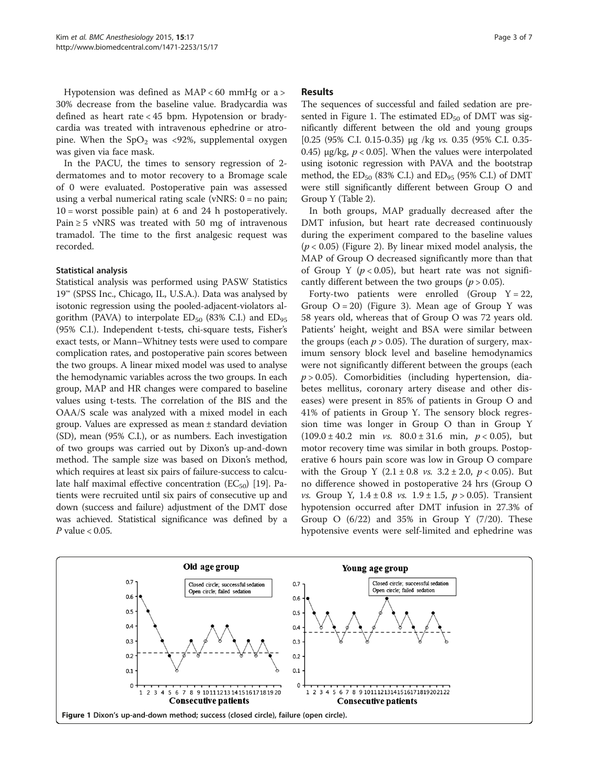Hypotension was defined as  $MAP < 60$  mmHg or a > 30% decrease from the baseline value. Bradycardia was defined as heart rate < 45 bpm. Hypotension or bradycardia was treated with intravenous ephedrine or atropine. When the  $SpO<sub>2</sub>$  was <92%, supplemental oxygen was given via face mask.

In the PACU, the times to sensory regression of 2 dermatomes and to motor recovery to a Bromage scale of 0 were evaluated. Postoperative pain was assessed using a verbal numerical rating scale (vNRS: 0 = no pain;  $10 =$  worst possible pain) at 6 and 24 h postoperatively. Pain  $\geq$  5 vNRS was treated with 50 mg of intravenous tramadol. The time to the first analgesic request was recorded.

# Statistical analysis

Statistical analysis was performed using PASW Statistics 19™ (SPSS Inc., Chicago, IL, U.S.A.). Data was analysed by isotonic regression using the pooled-adjacent-violators algorithm (PAVA) to interpolate  $ED_{50}$  (83% C.I.) and  $ED_{95}$ (95% C.I.). Independent t-tests, chi-square tests, Fisher's exact tests, or Mann–Whitney tests were used to compare complication rates, and postoperative pain scores between the two groups. A linear mixed model was used to analyse the hemodynamic variables across the two groups. In each group, MAP and HR changes were compared to baseline values using t-tests. The correlation of the BIS and the OAA/S scale was analyzed with a mixed model in each group. Values are expressed as mean ± standard deviation (SD), mean (95% C.I.), or as numbers. Each investigation of two groups was carried out by Dixon's up-and-down method. The sample size was based on Dixon's method, which requires at least six pairs of failure-success to calculate half maximal effective concentration ( $EC_{50}$ ) [[19](#page-6-0)]. Patients were recruited until six pairs of consecutive up and down (success and failure) adjustment of the DMT dose was achieved. Statistical significance was defined by a  $P$  value  $< 0.05$ .

# Results

The sequences of successful and failed sedation are presented in Figure 1. The estimated  $ED_{50}$  of DMT was significantly different between the old and young groups [0.25 (95% C.I. 0.15-0.35) μg /kg vs. 0.35 (95% C.I. 0.35- 0.45) μg/kg,  $p < 0.05$ . When the values were interpolated using isotonic regression with PAVA and the bootstrap method, the  $ED_{50}$  (83% C.I.) and  $ED_{95}$  (95% C.I.) of DMT were still significantly different between Group O and Group Y (Table [2](#page-3-0)).

In both groups, MAP gradually decreased after the DMT infusion, but heart rate decreased continuously during the experiment compared to the baseline values  $(p < 0.05)$  (Figure [2](#page-3-0)). By linear mixed model analysis, the MAP of Group O decreased significantly more than that of Group Y ( $p < 0.05$ ), but heart rate was not significantly different between the two groups ( $p > 0.05$ ).

Forty-two patients were enrolled (Group  $Y = 22$ , Group  $Q = 20$ ) (Figure [3\)](#page-4-0). Mean age of Group Y was 58 years old, whereas that of Group O was 72 years old. Patients' height, weight and BSA were similar between the groups (each  $p > 0.05$ ). The duration of surgery, maximum sensory block level and baseline hemodynamics were not significantly different between the groups (each  $p > 0.05$ ). Comorbidities (including hypertension, diabetes mellitus, coronary artery disease and other diseases) were present in 85% of patients in Group O and 41% of patients in Group Y. The sensory block regression time was longer in Group O than in Group Y  $(109.0 \pm 40.2 \text{ min} \text{ vs. } 80.0 \pm 31.6 \text{ min}, p < 0.05)$ , but motor recovery time was similar in both groups. Postoperative 6 hours pain score was low in Group O compare with the Group Y  $(2.1 \pm 0.8 \text{ vs. } 3.2 \pm 2.0, \text{ p} < 0.05)$ . But no difference showed in postoperative 24 hrs (Group O *vs.* Group Y,  $1.4 \pm 0.8$  *vs.*  $1.9 \pm 1.5$ ,  $p > 0.05$ ). Transient hypotension occurred after DMT infusion in 27.3% of Group O  $(6/22)$  and 35% in Group Y  $(7/20)$ . These hypotensive events were self-limited and ephedrine was

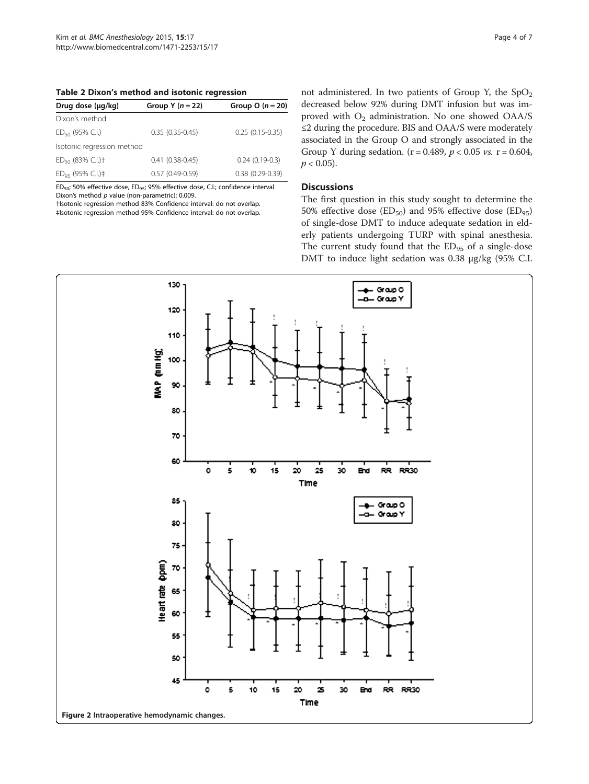<span id="page-3-0"></span>Table 2 Dixon's method and isotonic regression

| Drug dose (µg/kg)                 | Group Y $(n = 22)$  | Group O $(n = 20)$  |
|-----------------------------------|---------------------|---------------------|
| Dixon's method                    |                     |                     |
| $ED_{50}$ (95% C.I.)              | $0.35(0.35-0.45)$   | $0.25(0.15-0.35)$   |
| Isotonic regression method        |                     |                     |
| $ED_{50}$ (83% C.I.) <sup>+</sup> | $0.41(0.38-0.45)$   | $0.24(0.19-0.3)$    |
| $ED_{95}$ (95% C.I.)‡             | $0.57(0.49 - 0.59)$ | $0.38(0.29 - 0.39)$ |

ED<sub>50</sub>; 50% effective dose, ED<sub>95</sub>; 95% effective dose, C.I.; confidence interval Dixon's method  $p$  value (non-parametric): 0.009.

†Isotonic regression method 83% Confidence interval: do not overlap. ‡Isotonic regression method 95% Confidence interval: do not overlap. not administered. In two patients of Group Y, the  $SpO<sub>2</sub>$ decreased below 92% during DMT infusion but was improved with O<sub>2</sub> administration. No one showed OAA/S ≤2 during the procedure. BIS and OAA/S were moderately associated in the Group O and strongly associated in the Group Y during sedation. ( $r = 0.489$ ,  $p < 0.05$  vs.  $r = 0.604$ ,  $p < 0.05$ ).

# **Discussions**

The first question in this study sought to determine the 50% effective dose (ED<sub>50</sub>) and 95% effective dose (ED<sub>95</sub>) of single-dose DMT to induce adequate sedation in elderly patients undergoing TURP with spinal anesthesia. The current study found that the ED<sub>95</sub> of a single-dose DMT to induce light sedation was 0.38 μg/kg (95% C.I.

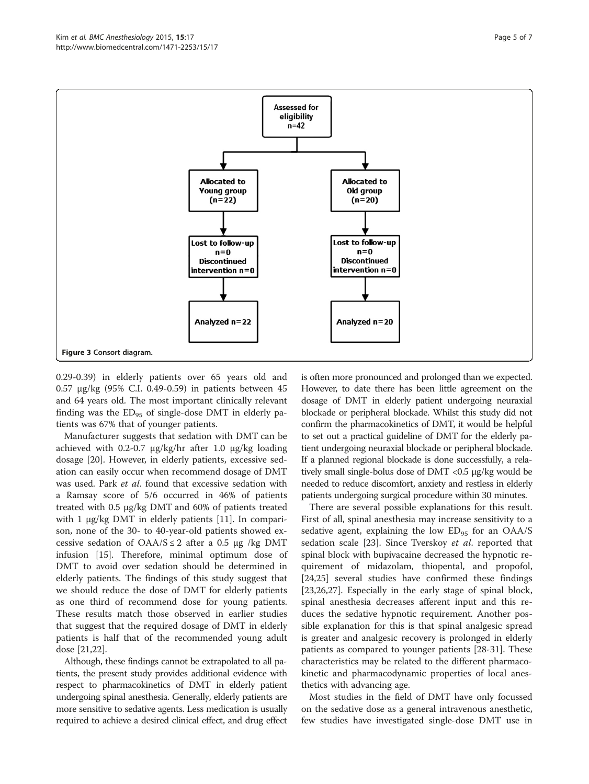<span id="page-4-0"></span>

0.29-0.39) in elderly patients over 65 years old and 0.57 μg/kg (95% C.I. 0.49-0.59) in patients between 45 and 64 years old. The most important clinically relevant finding was the  $ED_{95}$  of single-dose DMT in elderly patients was 67% that of younger patients.

Manufacturer suggests that sedation with DMT can be achieved with 0.2-0.7 μg/kg/hr after 1.0 μg/kg loading dosage [\[20](#page-6-0)]. However, in elderly patients, excessive sedation can easily occur when recommend dosage of DMT was used. Park et al. found that excessive sedation with a Ramsay score of 5/6 occurred in 46% of patients treated with 0.5 μg/kg DMT and 60% of patients treated with 1  $\mu$ g/kg DMT in elderly patients [\[11\]](#page-5-0). In comparison, none of the 30- to 40-year-old patients showed excessive sedation of  $OAA/S \leq 2$  after a 0.5 μg /kg DMT infusion [[15\]](#page-5-0). Therefore, minimal optimum dose of DMT to avoid over sedation should be determined in elderly patients. The findings of this study suggest that we should reduce the dose of DMT for elderly patients as one third of recommend dose for young patients. These results match those observed in earlier studies that suggest that the required dosage of DMT in elderly patients is half that of the recommended young adult dose [\[21,22](#page-6-0)].

Although, these findings cannot be extrapolated to all patients, the present study provides additional evidence with respect to pharmacokinetics of DMT in elderly patient undergoing spinal anesthesia. Generally, elderly patients are more sensitive to sedative agents. Less medication is usually required to achieve a desired clinical effect, and drug effect is often more pronounced and prolonged than we expected. However, to date there has been little agreement on the dosage of DMT in elderly patient undergoing neuraxial blockade or peripheral blockade. Whilst this study did not confirm the pharmacokinetics of DMT, it would be helpful to set out a practical guideline of DMT for the elderly patient undergoing neuraxial blockade or peripheral blockade. If a planned regional blockade is done successfully, a relatively small single-bolus dose of DMT <0.5 μg/kg would be needed to reduce discomfort, anxiety and restless in elderly patients undergoing surgical procedure within 30 minutes.

There are several possible explanations for this result. First of all, spinal anesthesia may increase sensitivity to a sedative agent, explaining the low  $ED_{95}$  for an OAA/S sedation scale [\[23](#page-6-0)]. Since Tverskoy et al. reported that spinal block with bupivacaine decreased the hypnotic requirement of midazolam, thiopental, and propofol, [[24,25\]](#page-6-0) several studies have confirmed these findings [[23,26,27\]](#page-6-0). Especially in the early stage of spinal block, spinal anesthesia decreases afferent input and this reduces the sedative hypnotic requirement. Another possible explanation for this is that spinal analgesic spread is greater and analgesic recovery is prolonged in elderly patients as compared to younger patients [\[28](#page-6-0)-[31\]](#page-6-0). These characteristics may be related to the different pharmacokinetic and pharmacodynamic properties of local anesthetics with advancing age.

Most studies in the field of DMT have only focussed on the sedative dose as a general intravenous anesthetic, few studies have investigated single-dose DMT use in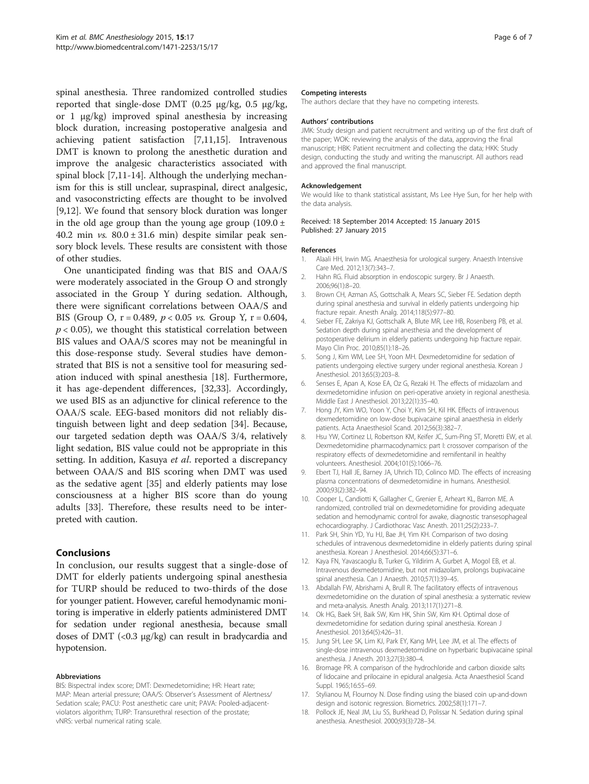<span id="page-5-0"></span>spinal anesthesia. Three randomized controlled studies reported that single-dose DMT (0.25 μg/kg, 0.5 μg/kg, or 1 μg/kg) improved spinal anesthesia by increasing block duration, increasing postoperative analgesia and achieving patient satisfaction [7,11,15]. Intravenous DMT is known to prolong the anesthetic duration and improve the analgesic characteristics associated with spinal block [7,11-14]. Although the underlying mechanism for this is still unclear, supraspinal, direct analgesic, and vasoconstricting effects are thought to be involved [9,12]. We found that sensory block duration was longer in the old age group than the young age group  $(109.0 \pm 10^{10})$ 40.2 min *vs.*  $80.0 \pm 31.6$  min) despite similar peak sensory block levels. These results are consistent with those of other studies.

One unanticipated finding was that BIS and OAA/S were moderately associated in the Group O and strongly associated in the Group Y during sedation. Although, there were significant correlations between OAA/S and BIS (Group O,  $r = 0.489$ ,  $p < 0.05$  vs. Group Y,  $r = 0.604$ ,  $p < 0.05$ ), we thought this statistical correlation between BIS values and OAA/S scores may not be meaningful in this dose-response study. Several studies have demonstrated that BIS is not a sensitive tool for measuring sedation induced with spinal anesthesia [18]. Furthermore, it has age-dependent differences, [[32,33](#page-6-0)]. Accordingly, we used BIS as an adjunctive for clinical reference to the OAA/S scale. EEG-based monitors did not reliably distinguish between light and deep sedation [[34\]](#page-6-0). Because, our targeted sedation depth was OAA/S 3/4, relatively light sedation, BIS value could not be appropriate in this setting. In addition, Kasuya et al. reported a discrepancy between OAA/S and BIS scoring when DMT was used as the sedative agent [[35\]](#page-6-0) and elderly patients may lose consciousness at a higher BIS score than do young adults [[33](#page-6-0)]. Therefore, these results need to be interpreted with caution.

# Conclusions

In conclusion, our results suggest that a single-dose of DMT for elderly patients undergoing spinal anesthesia for TURP should be reduced to two-thirds of the dose for younger patient. However, careful hemodynamic monitoring is imperative in elderly patients administered DMT for sedation under regional anesthesia, because small doses of DMT (<0.3 μg/kg) can result in bradycardia and hypotension.

# Abbreviations

BIS: Bispectral index score; DMT: Dexmedetomidine; HR: Heart rate; MAP: Mean arterial pressure; OAA/S: Observer's Assessment of Alertness/ Sedation scale; PACU: Post anesthetic care unit; PAVA: Pooled-adjacentviolators algorithm; TURP: Transurethral resection of the prostate; vNRS: verbal numerical rating scale.

#### Competing interests

The authors declare that they have no competing interests.

#### Authors' contributions

JMK: Study design and patient recruitment and writing up of the first draft of the paper; WOK: reviewing the analysis of the data, approving the final manuscript; HBK: Patient recruitment and collecting the data; HKK: Study design, conducting the study and writing the manuscript. All authors read and approved the final manuscript.

#### Acknowledgement

We would like to thank statistical assistant, Ms Lee Hye Sun, for her help with the data analysis.

#### Received: 18 September 2014 Accepted: 15 January 2015 Published: 27 January 2015

#### References

- 1. Alaali HH, Irwin MG. Anaesthesia for urological surgery. Anaesth Intensive Care Med. 2012;13(7):343–7.
- 2. Hahn RG. Fluid absorption in endoscopic surgery. Br J Anaesth. 2006;96(1):8–20.
- 3. Brown CH, Azman AS, Gottschalk A, Mears SC, Sieber FE. Sedation depth during spinal anesthesia and survival in elderly patients undergoing hip fracture repair. Anesth Analg. 2014;118(5):977–80.
- 4. Sieber FE, Zakriya KJ, Gottschalk A, Blute MR, Lee HB, Rosenberg PB, et al. Sedation depth during spinal anesthesia and the development of postoperative delirium in elderly patients undergoing hip fracture repair. Mayo Clin Proc. 2010;85(1):18–26.
- 5. Song J, Kim WM, Lee SH, Yoon MH. Dexmedetomidine for sedation of patients undergoing elective surgery under regional anesthesia. Korean J Anesthesiol. 2013;65(3):203–8.
- 6. Senses E, Apan A, Kose EA, Oz G, Rezaki H. The effects of midazolam and dexmedetomidine infusion on peri-operative anxiety in regional anesthesia. Middle East J Anesthesiol. 2013;22(1):35–40.
- 7. Hong JY, Kim WO, Yoon Y, Choi Y, Kim SH, Kil HK. Effects of intravenous dexmedetomidine on low-dose bupivacaine spinal anaesthesia in elderly patients. Acta Anaesthesiol Scand. 2012;56(3):382–7.
- 8. Hsu YW, Cortinez LI, Robertson KM, Keifer JC, Sum-Ping ST, Moretti EW, et al. Dexmedetomidine pharmacodynamics: part I: crossover comparison of the respiratory effects of dexmedetomidine and remifentanil in healthy volunteers. Anesthesiol. 2004;101(5):1066–76.
- 9. Ebert TJ, Hall JE, Barney JA, Uhrich TD, Colinco MD. The effects of increasing plasma concentrations of dexmedetomidine in humans. Anesthesiol. 2000;93(2):382–94.
- 10. Cooper L, Candiotti K, Gallagher C, Grenier E, Arheart KL, Barron ME. A randomized, controlled trial on dexmedetomidine for providing adequate sedation and hemodynamic control for awake, diagnostic transesophageal echocardiography. J Cardiothorac Vasc Anesth. 2011;25(2):233–7.
- 11. Park SH, Shin YD, Yu HJ, Bae JH, Yim KH. Comparison of two dosing schedules of intravenous dexmedetomidine in elderly patients during spinal anesthesia. Korean J Anesthesiol. 2014;66(5):371–6.
- 12. Kaya FN, Yavascaoglu B, Turker G, Yildirim A, Gurbet A, Mogol EB, et al. Intravenous dexmedetomidine, but not midazolam, prolongs bupivacaine spinal anesthesia. Can J Anaesth. 2010;57(1):39–45.
- 13. Abdallah FW, Abrishami A, Brull R. The facilitatory effects of intravenous dexmedetomidine on the duration of spinal anesthesia: a systematic review and meta-analysis. Anesth Analg. 2013;117(1):271–8.
- 14. Ok HG, Baek SH, Baik SW, Kim HK, Shin SW, Kim KH. Optimal dose of dexmedetomidine for sedation during spinal anesthesia. Korean J Anesthesiol. 2013;64(5):426–31.
- 15. Jung SH, Lee SK, Lim KJ, Park EY, Kang MH, Lee JM, et al. The effects of single-dose intravenous dexmedetomidine on hyperbaric bupivacaine spinal anesthesia. J Anesth. 2013;27(3):380–4.
- 16. Bromage PR. A comparison of the hydrochloride and carbon dioxide salts of lidocaine and prilocaine in epidural analgesia. Acta Anaesthesiol Scand Suppl. 1965;16:55–69.
- 17. Stylianou M, Flournoy N. Dose finding using the biased coin up-and-down design and isotonic regression. Biometrics. 2002;58(1):171–7.
- 18. Pollock JE, Neal JM, Liu SS, Burkhead D, Polissar N. Sedation during spinal anesthesia. Anesthesiol. 2000;93(3):728–34.